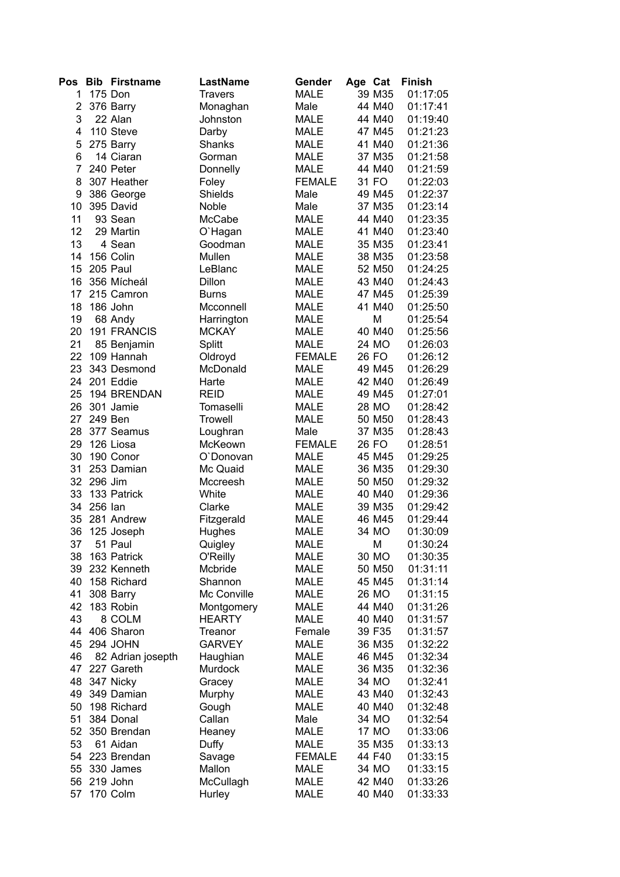| Pos            |         | <b>Bib Firstname</b> | <b>LastName</b> | Gender        | Age Cat |        | <b>Finish</b> |
|----------------|---------|----------------------|-----------------|---------------|---------|--------|---------------|
| 1              |         | 175 Don              | <b>Travers</b>  | <b>MALE</b>   |         | 39 M35 | 01:17:05      |
| $\overline{2}$ |         | 376 Barry            | Monaghan        | Male          |         | 44 M40 | 01:17:41      |
| 3              |         | 22 Alan              | Johnston        | <b>MALE</b>   |         | 44 M40 | 01:19:40      |
| 4              |         | 110 Steve            | Darby           | <b>MALE</b>   |         | 47 M45 | 01:21:23      |
| 5              |         | 275 Barry            | Shanks          | <b>MALE</b>   |         | 41 M40 | 01:21:36      |
| 6              |         | 14 Ciaran            | Gorman          | <b>MALE</b>   |         | 37 M35 | 01:21:58      |
| 7              |         | 240 Peter            | Donnelly        | <b>MALE</b>   |         | 44 M40 | 01:21:59      |
| 8              |         | 307 Heather          | Foley           | <b>FEMALE</b> |         | 31 FO  | 01:22:03      |
| 9              |         | 386 George           | Shields         | Male          |         | 49 M45 | 01:22:37      |
| 10             |         | 395 David            | Noble           | Male          |         | 37 M35 | 01:23:14      |
| 11             |         | 93 Sean              | McCabe          | <b>MALE</b>   |         | 44 M40 | 01:23:35      |
| 12             |         | 29 Martin            | O'Hagan         | <b>MALE</b>   |         | 41 M40 | 01:23:40      |
| 13             |         | 4 Sean               | Goodman         | <b>MALE</b>   |         | 35 M35 | 01:23:41      |
| 14             |         | 156 Colin            | Mullen          | <b>MALE</b>   |         | 38 M35 | 01:23:58      |
| 15             |         | 205 Paul             | LeBlanc         | <b>MALE</b>   |         | 52 M50 | 01:24:25      |
| 16             |         | 356 Mícheál          | Dillon          | <b>MALE</b>   |         | 43 M40 | 01:24:43      |
| 17             |         | 215 Camron           | <b>Burns</b>    | <b>MALE</b>   |         | 47 M45 | 01:25:39      |
| 18             |         | 186 John             | Mcconnell       | <b>MALE</b>   |         | 41 M40 | 01:25:50      |
| 19             |         | 68 Andy              | Harrington      | <b>MALE</b>   |         | M      | 01:25:54      |
| 20             |         | <b>191 FRANCIS</b>   | <b>MCKAY</b>    | <b>MALE</b>   |         | 40 M40 | 01:25:56      |
| 21             |         | 85 Benjamin          | Splitt          | <b>MALE</b>   |         | 24 MO  | 01:26:03      |
| 22             |         | 109 Hannah           | Oldroyd         | <b>FEMALE</b> |         | 26 FO  | 01:26:12      |
| 23             |         | 343 Desmond          | McDonald        | <b>MALE</b>   |         | 49 M45 | 01:26:29      |
| 24             |         | 201 Eddie            | Harte           | <b>MALE</b>   |         | 42 M40 | 01:26:49      |
| 25             |         | 194 BRENDAN          | <b>REID</b>     | <b>MALE</b>   |         | 49 M45 | 01:27:01      |
| 26             |         | 301 Jamie            | Tomaselli       | <b>MALE</b>   |         | 28 MO  | 01:28:42      |
| 27             |         | 249 Ben              | <b>Trowell</b>  | <b>MALE</b>   |         | 50 M50 | 01:28:43      |
| 28             |         | 377 Seamus           | Loughran        | Male          |         | 37 M35 | 01:28:43      |
| 29             |         | 126 Liosa            | McKeown         | <b>FEMALE</b> |         | 26 FO  | 01:28:51      |
| 30             |         | 190 Conor            | O'Donovan       | <b>MALE</b>   |         | 45 M45 | 01:29:25      |
| 31             |         | 253 Damian           | Mc Quaid        | <b>MALE</b>   |         | 36 M35 | 01:29:30      |
| 32             | 296 Jim |                      | Mccreesh        | <b>MALE</b>   |         | 50 M50 | 01:29:32      |
| 33             |         | 133 Patrick          | White           | <b>MALE</b>   |         | 40 M40 | 01:29:36      |
| 34             | 256 Ian |                      | Clarke          | <b>MALE</b>   |         | 39 M35 | 01:29:42      |
| 35             |         | 281 Andrew           | Fitzgerald      | <b>MALE</b>   |         | 46 M45 | 01:29:44      |
| 36             |         | 125 Joseph           | Hughes          | <b>MALE</b>   |         | 34 MO  | 01:30:09      |
| 37             |         | 51 Paul              | Quigley         | <b>MALE</b>   |         | M      | 01:30:24      |
| 38             |         | 163 Patrick          | O'Reilly        | MALE          |         | 30 MO  | 01:30:35      |
| 39             |         | 232 Kenneth          | Mcbride         | MALE          |         | 50 M50 | 01:31:11      |
| 40             |         | 158 Richard          | Shannon         | <b>MALE</b>   |         | 45 M45 | 01:31:14      |
| 41             |         | 308 Barry            | Mc Conville     | <b>MALE</b>   |         | 26 MO  | 01:31:15      |
| 42             |         | 183 Robin            | Montgomery      | <b>MALE</b>   |         | 44 M40 | 01:31:26      |
| 43             |         | 8 COLM               | <b>HEARTY</b>   | <b>MALE</b>   |         | 40 M40 | 01:31:57      |
| 44             |         | 406 Sharon           | Treanor         | Female        |         | 39 F35 | 01:31:57      |
| 45             |         | 294 JOHN             | <b>GARVEY</b>   | <b>MALE</b>   |         | 36 M35 | 01:32:22      |
| 46             |         | 82 Adrian josepth    | Haughian        | <b>MALE</b>   |         | 46 M45 | 01:32:34      |
| 47             |         | 227 Gareth           | Murdock         | <b>MALE</b>   |         | 36 M35 | 01:32:36      |
| 48             |         | 347 Nicky            | Gracey          | <b>MALE</b>   |         | 34 MO  | 01:32:41      |
| 49             |         | 349 Damian           | Murphy          | <b>MALE</b>   |         | 43 M40 | 01:32:43      |
| 50             |         | 198 Richard          | Gough           | <b>MALE</b>   |         | 40 M40 | 01:32:48      |
| 51             |         | 384 Donal            | Callan          | Male          |         | 34 MO  | 01:32:54      |
| 52             |         | 350 Brendan          | Heaney          | <b>MALE</b>   |         | 17 MO  | 01:33:06      |
| 53             |         | 61 Aidan             | Duffy           | <b>MALE</b>   |         | 35 M35 | 01:33:13      |
| 54             |         | 223 Brendan          | Savage          | <b>FEMALE</b> |         | 44 F40 | 01:33:15      |
| 55             |         | 330 James            | Mallon          | <b>MALE</b>   |         | 34 MO  | 01:33:15      |
| 56             |         | 219 John             | McCullagh       | <b>MALE</b>   |         | 42 M40 | 01:33:26      |
| 57             |         | 170 Colm             | Hurley          | <b>MALE</b>   |         | 40 M40 | 01:33:33      |
|                |         |                      |                 |               |         |        |               |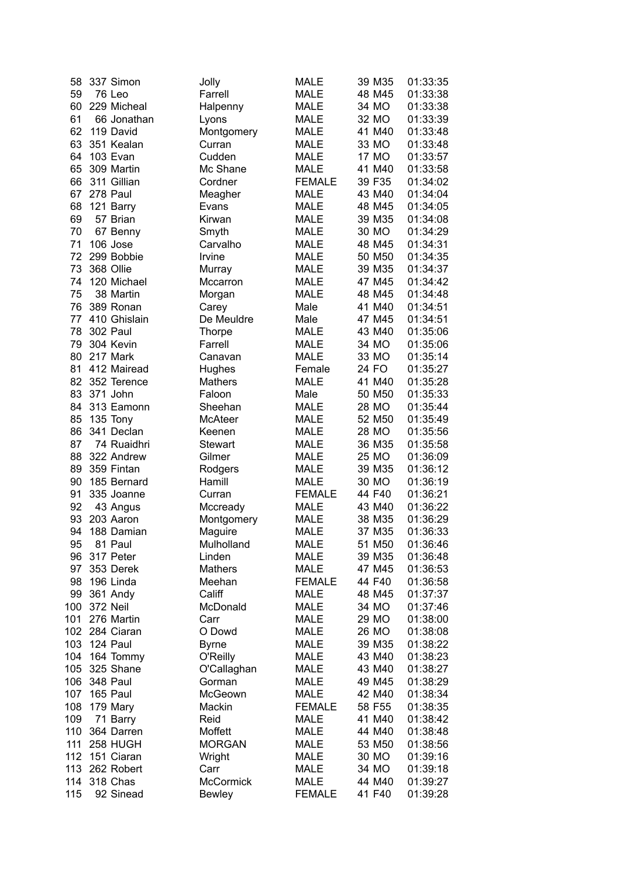| 58  | 337 Simon       | Jolly            | <b>MALE</b>   | 39 M35 | 01:33:35 |
|-----|-----------------|------------------|---------------|--------|----------|
| 59  | 76 Leo          | Farrell          | MALE          | 48 M45 | 01:33:38 |
| 60  | 229 Micheal     | Halpenny         | <b>MALE</b>   | 34 MO  | 01:33:38 |
| 61  | 66 Jonathan     | Lyons            | <b>MALE</b>   | 32 MO  | 01:33:39 |
| 62  | 119 David       | Montgomery       | <b>MALE</b>   | 41 M40 | 01:33:48 |
| 63  | 351 Kealan      | Curran           | <b>MALE</b>   | 33 MO  | 01:33:48 |
| 64  | 103 Evan        | Cudden           | <b>MALE</b>   | 17 MO  | 01:33:57 |
| 65  | 309 Martin      | Mc Shane         | <b>MALE</b>   | 41 M40 | 01:33:58 |
| 66  | 311 Gillian     | Cordner          | <b>FEMALE</b> | 39 F35 | 01:34:02 |
| 67  | 278 Paul        | Meagher          | <b>MALE</b>   | 43 M40 | 01:34:04 |
| 68  | 121 Barry       | Evans            | <b>MALE</b>   | 48 M45 | 01:34:05 |
| 69  | 57 Brian        | Kirwan           | <b>MALE</b>   | 39 M35 | 01:34:08 |
| 70  | 67 Benny        | Smyth            | <b>MALE</b>   | 30 MO  | 01:34:29 |
| 71  | 106 Jose        | Carvalho         | <b>MALE</b>   | 48 M45 | 01:34:31 |
| 72  | 299 Bobbie      | Irvine           | <b>MALE</b>   | 50 M50 | 01:34:35 |
| 73  | 368 Ollie       | Murray           | <b>MALE</b>   | 39 M35 | 01:34:37 |
| 74  | 120 Michael     | Mccarron         | <b>MALE</b>   | 47 M45 | 01:34:42 |
| 75  | 38 Martin       | Morgan           | <b>MALE</b>   | 48 M45 | 01:34:48 |
| 76  | 389 Ronan       | Carey            | Male          | 41 M40 | 01:34:51 |
| 77  | 410 Ghislain    | De Meuldre       | Male          | 47 M45 | 01:34:51 |
| 78  | <b>302 Paul</b> | <b>Thorpe</b>    | MALE          | 43 M40 | 01:35:06 |
| 79  | 304 Kevin       | Farrell          | MALE          | 34 MO  | 01:35:06 |
| 80  | 217 Mark        | Canavan          | <b>MALE</b>   | 33 MO  | 01:35:14 |
| 81  | 412 Mairead     | Hughes           | Female        | 24 FO  | 01:35:27 |
| 82  | 352 Terence     | <b>Mathers</b>   | <b>MALE</b>   | 41 M40 | 01:35:28 |
| 83  | 371 John        | Faloon           | Male          | 50 M50 | 01:35:33 |
| 84  | 313 Eamonn      | Sheehan          | MALE          | 28 MO  | 01:35:44 |
| 85  | 135 Tony        | McAteer          | MALE          | 52 M50 | 01:35:49 |
| 86  | 341 Declan      | Keenen           | <b>MALE</b>   | 28 MO  | 01:35:56 |
| 87  | 74 Ruaidhri     | <b>Stewart</b>   | <b>MALE</b>   | 36 M35 | 01:35:58 |
| 88  | 322 Andrew      | Gilmer           | <b>MALE</b>   | 25 MO  | 01:36:09 |
| 89  | 359 Fintan      | Rodgers          | <b>MALE</b>   | 39 M35 | 01:36:12 |
| 90  | 185 Bernard     | Hamill           | <b>MALE</b>   | 30 MO  | 01:36:19 |
| 91  | 335 Joanne      | Curran           | <b>FEMALE</b> | 44 F40 | 01:36:21 |
| 92  | 43 Angus        | Mccready         | <b>MALE</b>   | 43 M40 | 01:36:22 |
| 93  | 203 Aaron       | Montgomery       | MALE          | 38 M35 | 01:36:29 |
| 94  | 188 Damian      | Maguire          | <b>MALE</b>   | 37 M35 | 01:36:33 |
| 95  | 81 Paul         | Mulholland       | <b>MALE</b>   | 51 M50 | 01:36:46 |
| 96  | 317 Peter       | Linden           | MALE          | 39 M35 | 01:36:48 |
| 97  | 353 Derek       | Mathers          | <b>MALE</b>   | 47 M45 | 01:36:53 |
| 98  | 196 Linda       | Meehan           | <b>FEMALE</b> | 44 F40 | 01:36:58 |
| 99  | 361 Andy        | Califf           | <b>MALE</b>   | 48 M45 | 01:37:37 |
| 100 | 372 Neil        | McDonald         | <b>MALE</b>   | 34 MO  | 01:37:46 |
| 101 | 276 Martin      | Carr             | <b>MALE</b>   | 29 MO  | 01:38:00 |
| 102 | 284 Ciaran      | O Dowd           | <b>MALE</b>   | 26 MO  | 01:38:08 |
| 103 | 124 Paul        | <b>Byrne</b>     | <b>MALE</b>   | 39 M35 | 01:38:22 |
| 104 | 164 Tommy       | O'Reilly         | <b>MALE</b>   | 43 M40 | 01:38:23 |
| 105 | 325 Shane       | O'Callaghan      | <b>MALE</b>   | 43 M40 | 01:38:27 |
| 106 | 348 Paul        | Gorman           | <b>MALE</b>   | 49 M45 | 01:38:29 |
| 107 | 165 Paul        | McGeown          | <b>MALE</b>   | 42 M40 | 01:38:34 |
| 108 | 179 Mary        | Mackin           | <b>FEMALE</b> | 58 F55 | 01:38:35 |
| 109 | 71 Barry        | Reid             | <b>MALE</b>   | 41 M40 | 01:38:42 |
| 110 | 364 Darren      | Moffett          | <b>MALE</b>   | 44 M40 | 01:38:48 |
| 111 | 258 HUGH        | <b>MORGAN</b>    | <b>MALE</b>   | 53 M50 | 01:38:56 |
| 112 | 151 Ciaran      | Wright           | <b>MALE</b>   | 30 MO  | 01:39:16 |
| 113 | 262 Robert      | Carr             | <b>MALE</b>   | 34 MO  | 01:39:18 |
| 114 | 318 Chas        | <b>McCormick</b> | <b>MALE</b>   | 44 M40 | 01:39:27 |
| 115 | 92 Sinead       | <b>Bewley</b>    | <b>FEMALE</b> | 41 F40 | 01:39:28 |
|     |                 |                  |               |        |          |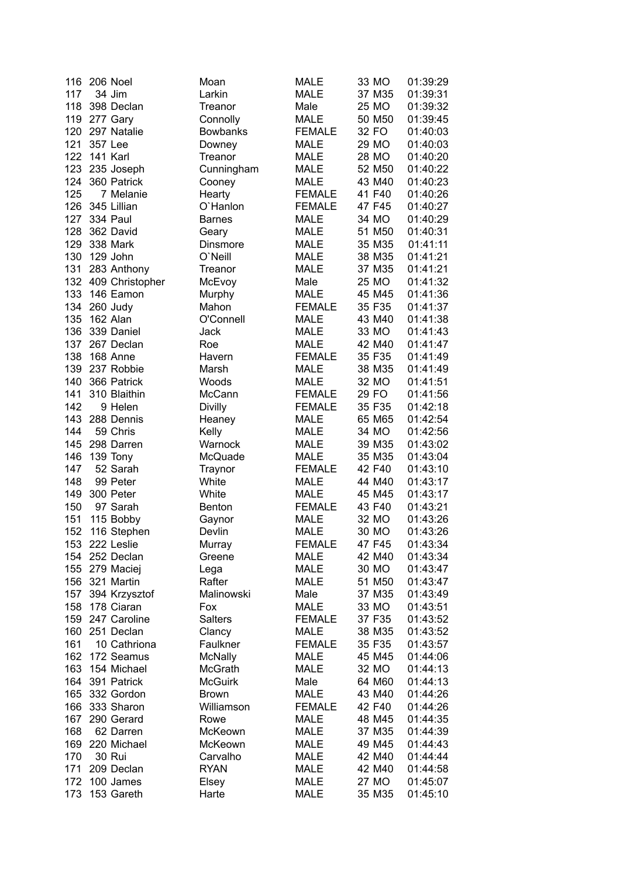| 116 | 206 Noel        | Moan            | <b>MALE</b>   | 33 MO  | 01:39:29 |
|-----|-----------------|-----------------|---------------|--------|----------|
| 117 | 34 Jim          | Larkin          | <b>MALE</b>   | 37 M35 | 01:39:31 |
| 118 | 398 Declan      | Treanor         | Male          | 25 MO  | 01:39:32 |
| 119 | 277 Gary        | Connolly        | <b>MALE</b>   | 50 M50 | 01:39:45 |
| 120 | 297 Natalie     | <b>Bowbanks</b> | <b>FEMALE</b> | 32 FO  | 01:40:03 |
| 121 | 357 Lee         | Downey          | <b>MALE</b>   | 29 MO  | 01:40:03 |
| 122 | 141 Karl        | Treanor         | <b>MALE</b>   | 28 MO  | 01:40:20 |
| 123 | 235 Joseph      | Cunningham      | <b>MALE</b>   | 52 M50 | 01:40:22 |
| 124 | 360 Patrick     | Cooney          | <b>MALE</b>   | 43 M40 | 01:40:23 |
| 125 | 7 Melanie       | Hearty          | <b>FEMALE</b> | 41 F40 | 01:40:26 |
| 126 | 345 Lillian     | O'Hanlon        | <b>FEMALE</b> | 47 F45 | 01:40:27 |
| 127 | <b>334 Paul</b> | <b>Barnes</b>   | <b>MALE</b>   | 34 MO  | 01:40:29 |
| 128 | 362 David       | Geary           | <b>MALE</b>   | 51 M50 | 01:40:31 |
| 129 | 338 Mark        | Dinsmore        | <b>MALE</b>   | 35 M35 | 01:41:11 |
| 130 | 129 John        | O'Neill         | <b>MALE</b>   | 38 M35 | 01:41:21 |
| 131 | 283 Anthony     | Treanor         | <b>MALE</b>   | 37 M35 | 01:41:21 |
| 132 | 409 Christopher | McEvoy          | Male          | 25 MO  | 01:41:32 |
| 133 | 146 Eamon       | Murphy          | <b>MALE</b>   | 45 M45 | 01:41:36 |
| 134 | 260 Judy        | Mahon           | <b>FEMALE</b> | 35 F35 | 01:41:37 |
| 135 | 162 Alan        | O'Connell       | <b>MALE</b>   | 43 M40 | 01:41:38 |
|     |                 |                 |               |        |          |
| 136 | 339 Daniel      | Jack            | <b>MALE</b>   | 33 MO  | 01:41:43 |
| 137 | 267 Declan      | Roe             | <b>MALE</b>   | 42 M40 | 01:41:47 |
| 138 | 168 Anne        | Havern          | <b>FEMALE</b> | 35 F35 | 01:41:49 |
| 139 | 237 Robbie      | Marsh           | <b>MALE</b>   | 38 M35 | 01:41:49 |
| 140 | 366 Patrick     | Woods           | <b>MALE</b>   | 32 MO  | 01:41:51 |
| 141 | 310 Blaithin    | McCann          | <b>FEMALE</b> | 29 FO  | 01:41:56 |
| 142 | 9 Helen         | <b>Divilly</b>  | <b>FEMALE</b> | 35 F35 | 01:42:18 |
| 143 | 288 Dennis      | Heaney          | <b>MALE</b>   | 65 M65 | 01:42:54 |
| 144 | 59 Chris        | Kelly           | <b>MALE</b>   | 34 MO  | 01:42:56 |
| 145 | 298 Darren      | Warnock         | <b>MALE</b>   | 39 M35 | 01:43:02 |
| 146 | 139 Tony        | McQuade         | <b>MALE</b>   | 35 M35 | 01:43:04 |
| 147 | 52 Sarah        | Traynor         | <b>FEMALE</b> | 42 F40 | 01:43:10 |
| 148 | 99 Peter        | White           | <b>MALE</b>   | 44 M40 | 01:43:17 |
| 149 | 300 Peter       | White           | <b>MALE</b>   | 45 M45 | 01:43:17 |
| 150 | 97 Sarah        | <b>Benton</b>   | <b>FEMALE</b> | 43 F40 | 01:43:21 |
| 151 | 115 Bobby       | Gaynor          | <b>MALE</b>   | 32 MO  | 01:43:26 |
| 152 | 116 Stephen     | Devlin          | <b>MALE</b>   | 30 MO  | 01:43:26 |
|     | 153 222 Leslie  | Murray          | <b>FEMALE</b> | 47 F45 | 01:43:34 |
|     | 154 252 Declan  | Greene          | <b>MALE</b>   | 42 M40 | 01:43:34 |
|     | 155 279 Maciej  | Lega            | <b>MALE</b>   | 30 MO  | 01:43:47 |
| 156 | 321 Martin      | Rafter          | <b>MALE</b>   | 51 M50 | 01:43:47 |
| 157 | 394 Krzysztof   | Malinowski      | Male          | 37 M35 | 01:43:49 |
| 158 | 178 Ciaran      | Fox             | <b>MALE</b>   | 33 MO  | 01:43:51 |
| 159 | 247 Caroline    | <b>Salters</b>  | <b>FEMALE</b> | 37 F35 | 01:43:52 |
| 160 | 251 Declan      | Clancy          | <b>MALE</b>   | 38 M35 | 01:43:52 |
| 161 | 10 Cathriona    | Faulkner        | <b>FEMALE</b> | 35 F35 | 01:43:57 |
| 162 | 172 Seamus      | <b>McNally</b>  | <b>MALE</b>   | 45 M45 | 01:44:06 |
| 163 | 154 Michael     | <b>McGrath</b>  | <b>MALE</b>   | 32 MO  | 01:44:13 |
| 164 | 391 Patrick     | <b>McGuirk</b>  | Male          | 64 M60 | 01:44:13 |
| 165 | 332 Gordon      | <b>Brown</b>    | <b>MALE</b>   | 43 M40 | 01:44:26 |
| 166 | 333 Sharon      | Williamson      | <b>FEMALE</b> | 42 F40 | 01:44:26 |
| 167 | 290 Gerard      | Rowe            | <b>MALE</b>   | 48 M45 | 01:44:35 |
| 168 | 62 Darren       | McKeown         | <b>MALE</b>   | 37 M35 | 01:44:39 |
| 169 | 220 Michael     | McKeown         | <b>MALE</b>   | 49 M45 | 01:44:43 |
| 170 | 30 Rui          |                 |               | 42 M40 |          |
|     |                 | Carvalho        | <b>MALE</b>   |        | 01:44:44 |
| 171 | 209 Declan      | <b>RYAN</b>     | <b>MALE</b>   | 42 M40 | 01:44:58 |
| 172 | 100 James       | Elsey           | <b>MALE</b>   | 27 MO  | 01:45:07 |
| 173 | 153 Gareth      | Harte           | <b>MALE</b>   | 35 M35 | 01:45:10 |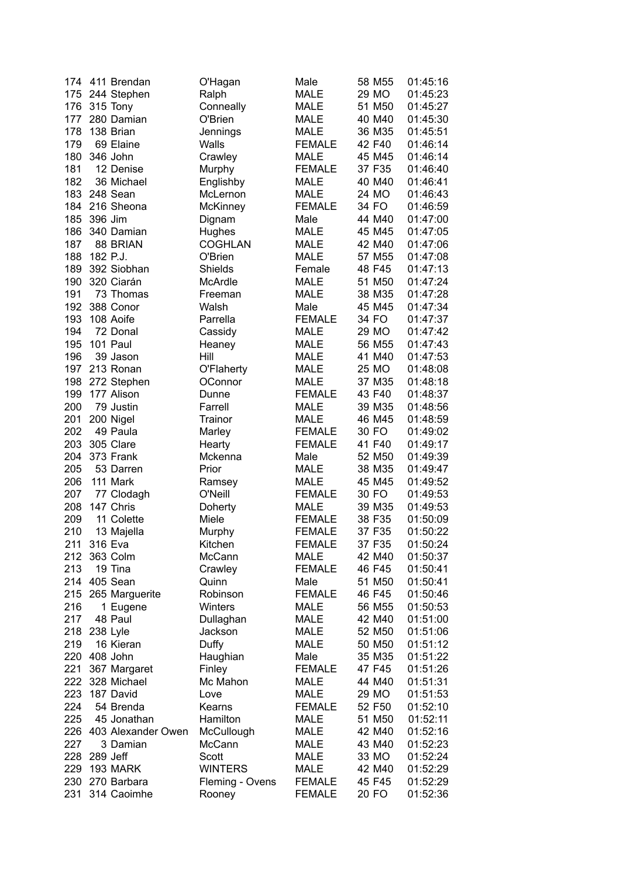| 174 | 411 Brendan            | O'Hagan         | Male          | 58 M55 | 01:45:16 |
|-----|------------------------|-----------------|---------------|--------|----------|
| 175 | 244 Stephen            | Ralph           | <b>MALE</b>   | 29 MO  | 01:45:23 |
| 176 | 315 Tony               | Conneally       | <b>MALE</b>   | 51 M50 | 01:45:27 |
| 177 | 280 Damian             | O'Brien         | <b>MALE</b>   | 40 M40 | 01:45:30 |
| 178 | 138 Brian              | Jennings        | <b>MALE</b>   | 36 M35 | 01:45:51 |
| 179 | 69 Elaine              | Walls           | <b>FEMALE</b> | 42 F40 | 01:46:14 |
| 180 | 346 John               | Crawley         | <b>MALE</b>   | 45 M45 | 01:46:14 |
| 181 | 12 Denise              | Murphy          | <b>FEMALE</b> | 37 F35 | 01:46:40 |
| 182 | 36 Michael             |                 | <b>MALE</b>   | 40 M40 | 01:46:41 |
|     |                        | Englishby       |               |        |          |
| 183 | 248 Sean               | McLernon        | <b>MALE</b>   | 24 MO  | 01:46:43 |
| 184 | 216 Sheona             | McKinney        | <b>FEMALE</b> | 34 FO  | 01:46:59 |
| 185 | 396 Jim                | Dignam          | Male          | 44 M40 | 01:47:00 |
| 186 | 340 Damian             | Hughes          | <b>MALE</b>   | 45 M45 | 01:47:05 |
| 187 | 88 BRIAN               | <b>COGHLAN</b>  | <b>MALE</b>   | 42 M40 | 01:47:06 |
| 188 | 182 P.J.               | O'Brien         | <b>MALE</b>   | 57 M55 | 01:47:08 |
| 189 | 392 Siobhan            | Shields         | Female        | 48 F45 | 01:47:13 |
| 190 | 320 Ciarán             | McArdle         | <b>MALE</b>   | 51 M50 | 01:47:24 |
| 191 | 73 Thomas              | Freeman         | <b>MALE</b>   | 38 M35 | 01:47:28 |
| 192 | 388 Conor              | Walsh           | Male          | 45 M45 | 01:47:34 |
| 193 | 108 Aoife              | Parrella        | <b>FEMALE</b> | 34 FO  | 01:47:37 |
| 194 | 72 Donal               | Cassidy         | <b>MALE</b>   | 29 MO  | 01:47:42 |
| 195 | 101 Paul               | Heaney          | <b>MALE</b>   | 56 M55 | 01:47:43 |
| 196 | 39 Jason               | Hill            | <b>MALE</b>   | 41 M40 | 01:47:53 |
| 197 | 213 Ronan              |                 | <b>MALE</b>   | 25 MO  | 01:48:08 |
|     |                        | O'Flaherty      |               |        |          |
| 198 | 272 Stephen            | OConnor         | <b>MALE</b>   | 37 M35 | 01:48:18 |
| 199 | 177 Alison             | Dunne           | <b>FEMALE</b> | 43 F40 | 01:48:37 |
| 200 | 79 Justin              | Farrell         | <b>MALE</b>   | 39 M35 | 01:48:56 |
| 201 | 200 Nigel              | Trainor         | <b>MALE</b>   | 46 M45 | 01:48:59 |
| 202 | 49 Paula               | Marley          | <b>FEMALE</b> | 30 FO  | 01:49:02 |
| 203 | 305 Clare              | Hearty          | <b>FEMALE</b> | 41 F40 | 01:49:17 |
| 204 | 373 Frank              | Mckenna         | Male          | 52 M50 | 01:49:39 |
| 205 | 53 Darren              | Prior           | <b>MALE</b>   | 38 M35 | 01:49:47 |
| 206 | 111 Mark               | Ramsey          | <b>MALE</b>   | 45 M45 | 01:49:52 |
| 207 | 77 Clodagh             | O'Neill         | <b>FEMALE</b> | 30 FO  | 01:49:53 |
| 208 | 147 Chris              | Doherty         | <b>MALE</b>   | 39 M35 | 01:49:53 |
| 209 | 11 Colette             | Miele           | <b>FEMALE</b> | 38 F35 | 01:50:09 |
| 210 | 13 Majella             | Murphy          | <b>FEMALE</b> | 37 F35 | 01:50:22 |
| 211 | 316 Eva                | Kitchen         | <b>FEMALE</b> | 37 F35 | 01:50:24 |
|     | 212 363 Colm           | McCann          | <b>MALE</b>   | 42 M40 | 01:50:37 |
| 213 | 19 Tina                | Crawley         | <b>FEMALE</b> | 46 F45 | 01:50:41 |
|     | 214 405 Sean           | Quinn           | Male          | 51 M50 | 01:50:41 |
|     | 215 265 Marguerite     | Robinson        | <b>FEMALE</b> | 46 F45 | 01:50:46 |
| 216 | 1 Eugene               | Winters         | <b>MALE</b>   | 56 M55 | 01:50:53 |
| 217 |                        |                 |               | 42 M40 |          |
|     | 48 Paul                | Dullaghan       | <b>MALE</b>   |        | 01:51:00 |
| 218 | 238 Lyle               | Jackson         | <b>MALE</b>   | 52 M50 | 01:51:06 |
| 219 | 16 Kieran              | Duffy           | <b>MALE</b>   | 50 M50 | 01:51:12 |
|     | 220 408 John           | Haughian        | Male          | 35 M35 | 01:51:22 |
| 221 | 367 Margaret           | Finley          | <b>FEMALE</b> | 47 F45 | 01:51:26 |
|     | 222 328 Michael        | Mc Mahon        | <b>MALE</b>   | 44 M40 | 01:51:31 |
| 223 | 187 David              | Love            | <b>MALE</b>   | 29 MO  | 01:51:53 |
| 224 | 54 Brenda              | Kearns          | <b>FEMALE</b> | 52 F50 | 01:52:10 |
| 225 | 45 Jonathan            | Hamilton        | <b>MALE</b>   | 51 M50 | 01:52:11 |
|     | 226 403 Alexander Owen | McCullough      | <b>MALE</b>   | 42 M40 | 01:52:16 |
| 227 | 3 Damian               | McCann          | <b>MALE</b>   | 43 M40 | 01:52:23 |
| 228 | 289 Jeff               | Scott           | <b>MALE</b>   | 33 MO  | 01:52:24 |
| 229 | 193 MARK               | <b>WINTERS</b>  | <b>MALE</b>   | 42 M40 | 01:52:29 |
|     | 230 270 Barbara        | Fleming - Ovens | <b>FEMALE</b> | 45 F45 | 01:52:29 |
| 231 | 314 Caoimhe            | Rooney          | <b>FEMALE</b> | 20 FO  | 01:52:36 |
|     |                        |                 |               |        |          |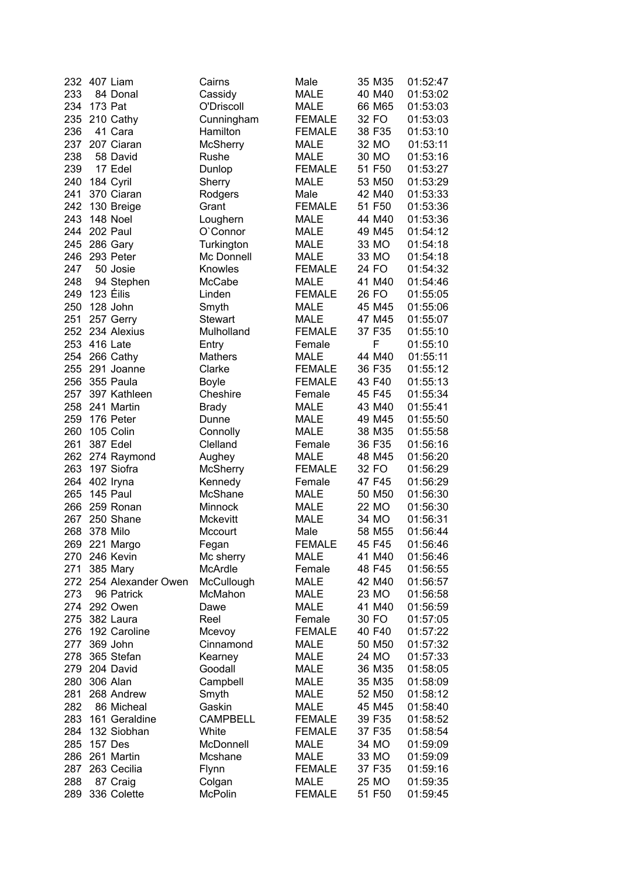| 232 | 407 Liam           | Cairns          | Male          | 35 M35 | 01:52:47 |
|-----|--------------------|-----------------|---------------|--------|----------|
| 233 | 84 Donal           | Cassidy         | <b>MALE</b>   | 40 M40 | 01:53:02 |
| 234 | 173 Pat            | O'Driscoll      | <b>MALE</b>   | 66 M65 | 01:53:03 |
| 235 | 210 Cathy          | Cunningham      | <b>FEMALE</b> | 32 FO  | 01:53:03 |
| 236 | 41 Cara            | Hamilton        | <b>FEMALE</b> | 38 F35 | 01:53:10 |
| 237 | 207 Ciaran         | <b>McSherry</b> | <b>MALE</b>   | 32 MO  | 01:53:11 |
| 238 | 58 David           | Rushe           | <b>MALE</b>   | 30 MO  | 01:53:16 |
| 239 | 17 Edel            | Dunlop          | <b>FEMALE</b> | 51 F50 | 01:53:27 |
| 240 |                    |                 | <b>MALE</b>   | 53 M50 | 01:53:29 |
|     | 184 Cyril          | Sherry          |               |        |          |
| 241 | 370 Ciaran         | Rodgers         | Male          | 42 M40 | 01:53:33 |
| 242 | 130 Breige         | Grant           | <b>FEMALE</b> | 51 F50 | 01:53:36 |
| 243 | 148 Noel           | Loughern        | <b>MALE</b>   | 44 M40 | 01:53:36 |
| 244 | 202 Paul           | O'Connor        | <b>MALE</b>   | 49 M45 | 01:54:12 |
| 245 | 286 Gary           | Turkington      | <b>MALE</b>   | 33 MO  | 01:54:18 |
| 246 | 293 Peter          | Mc Donnell      | <b>MALE</b>   | 33 MO  | 01:54:18 |
| 247 | 50 Josie           | Knowles         | <b>FEMALE</b> | 24 FO  | 01:54:32 |
| 248 | 94 Stephen         | McCabe          | <b>MALE</b>   | 41 M40 | 01:54:46 |
| 249 | 123 Éilis          | Linden          | <b>FEMALE</b> | 26 FO  | 01:55:05 |
| 250 | 128 John           | Smyth           | <b>MALE</b>   | 45 M45 | 01:55:06 |
| 251 | 257 Gerry          | <b>Stewart</b>  | <b>MALE</b>   | 47 M45 | 01:55:07 |
| 252 | 234 Alexius        | Mulholland      | <b>FEMALE</b> | 37 F35 | 01:55:10 |
| 253 | 416 Late           | Entry           | Female        | F      | 01:55:10 |
| 254 | 266 Cathy          | <b>Mathers</b>  | <b>MALE</b>   | 44 M40 | 01:55:11 |
| 255 | 291 Joanne         | Clarke          | <b>FEMALE</b> | 36 F35 | 01:55:12 |
| 256 | 355 Paula          |                 | <b>FEMALE</b> | 43 F40 | 01:55:13 |
|     |                    | <b>Boyle</b>    |               |        |          |
| 257 | 397 Kathleen       | Cheshire        | Female        | 45 F45 | 01:55:34 |
| 258 | 241 Martin         | <b>Brady</b>    | <b>MALE</b>   | 43 M40 | 01:55:41 |
| 259 | 176 Peter          | Dunne           | <b>MALE</b>   | 49 M45 | 01:55:50 |
| 260 | 105 Colin          | Connolly        | <b>MALE</b>   | 38 M35 | 01:55:58 |
| 261 | 387 Edel           | Clelland        | Female        | 36 F35 | 01:56:16 |
| 262 | 274 Raymond        | Aughey          | <b>MALE</b>   | 48 M45 | 01:56:20 |
| 263 | 197 Siofra         | <b>McSherry</b> | <b>FEMALE</b> | 32 FO  | 01:56:29 |
| 264 | 402 Iryna          | Kennedy         | Female        | 47 F45 | 01:56:29 |
| 265 | 145 Paul           | <b>McShane</b>  | <b>MALE</b>   | 50 M50 | 01:56:30 |
| 266 | 259 Ronan          | Minnock         | <b>MALE</b>   | 22 MO  | 01:56:30 |
| 267 | 250 Shane          | Mckevitt        | <b>MALE</b>   | 34 MO  | 01:56:31 |
| 268 | 378 Milo           | Mccourt         | Male          | 58 M55 | 01:56:44 |
|     | 269 221 Margo      | Fegan           | <b>FEMALE</b> | 45 F45 | 01:56:46 |
|     | 270 246 Kevin      | Mc sherry       | <b>MALE</b>   | 41 M40 | 01:56:46 |
| 271 | 385 Mary           | McArdle         | Female        | 48 F45 | 01:56:55 |
| 272 | 254 Alexander Owen | McCullough      | <b>MALE</b>   | 42 M40 | 01:56:57 |
| 273 | 96 Patrick         | McMahon         | <b>MALE</b>   | 23 MO  | 01:56:58 |
| 274 | 292 Owen           | Dawe            | <b>MALE</b>   | 41 M40 | 01:56:59 |
| 275 | 382 Laura          | Reel            | Female        | 30 FO  | 01:57:05 |
| 276 | 192 Caroline       | Mcevoy          | <b>FEMALE</b> | 40 F40 | 01:57:22 |
|     | 369 John           |                 |               |        |          |
| 277 |                    | Cinnamond       | <b>MALE</b>   | 50 M50 | 01:57:32 |
| 278 | 365 Stefan         | Kearney         | <b>MALE</b>   | 24 MO  | 01:57:33 |
| 279 | 204 David          | Goodall         | <b>MALE</b>   | 36 M35 | 01:58:05 |
| 280 | 306 Alan           | Campbell        | <b>MALE</b>   | 35 M35 | 01:58:09 |
| 281 | 268 Andrew         | Smyth           | <b>MALE</b>   | 52 M50 | 01:58:12 |
| 282 | 86 Micheal         | Gaskin          | <b>MALE</b>   | 45 M45 | 01:58:40 |
| 283 | 161 Geraldine      | <b>CAMPBELL</b> | <b>FEMALE</b> | 39 F35 | 01:58:52 |
| 284 | 132 Siobhan        | White           | <b>FEMALE</b> | 37 F35 | 01:58:54 |
| 285 | 157 Des            | McDonnell       | <b>MALE</b>   | 34 MO  | 01:59:09 |
| 286 | 261 Martin         | Mcshane         | <b>MALE</b>   | 33 MO  | 01:59:09 |
| 287 | 263 Cecilia        | Flynn           | <b>FEMALE</b> | 37 F35 | 01:59:16 |
| 288 | 87 Craig           | Colgan          | <b>MALE</b>   | 25 MO  | 01:59:35 |
| 289 | 336 Colette        | <b>McPolin</b>  | <b>FEMALE</b> | 51 F50 | 01:59:45 |
|     |                    |                 |               |        |          |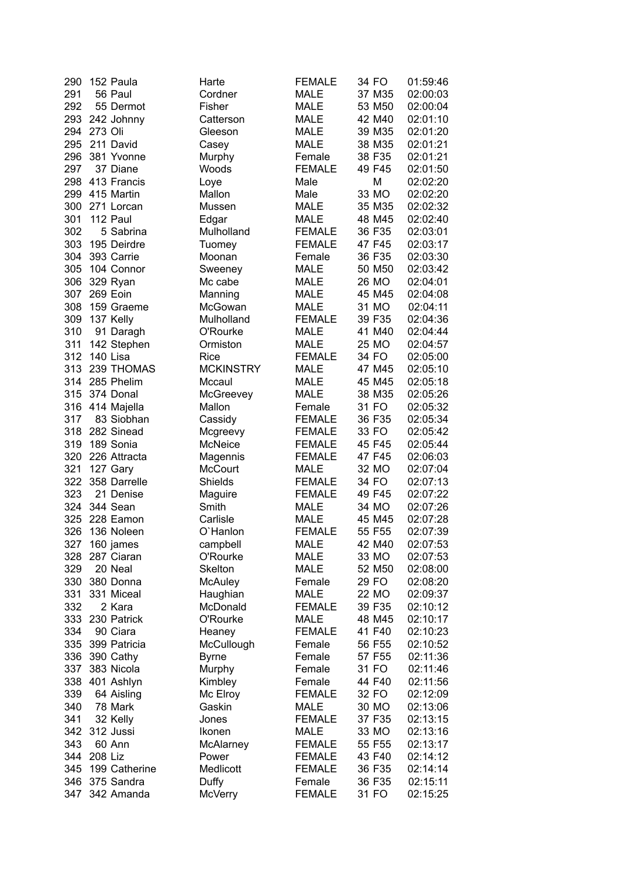| 290 | 152 Paula     | Harte            | <b>FEMALE</b> | 34 FO  | 01:59:46 |
|-----|---------------|------------------|---------------|--------|----------|
| 291 | 56 Paul       | Cordner          | <b>MALE</b>   | 37 M35 | 02:00:03 |
| 292 | 55 Dermot     | Fisher           | <b>MALE</b>   | 53 M50 | 02:00:04 |
| 293 | 242 Johnny    | Catterson        | <b>MALE</b>   | 42 M40 | 02:01:10 |
| 294 | 273 Oli       | Gleeson          | <b>MALE</b>   | 39 M35 | 02:01:20 |
| 295 | 211 David     | Casey            | <b>MALE</b>   | 38 M35 | 02:01:21 |
| 296 | 381 Yvonne    | Murphy           | Female        | 38 F35 | 02:01:21 |
| 297 | 37 Diane      | Woods            | <b>FEMALE</b> | 49 F45 | 02:01:50 |
| 298 | 413 Francis   |                  | Male          | M      | 02:02:20 |
|     |               | Loye             |               |        |          |
| 299 | 415 Martin    | Mallon           | Male          | 33 MO  | 02:02:20 |
| 300 | 271 Lorcan    | Mussen           | <b>MALE</b>   | 35 M35 | 02:02:32 |
| 301 | 112 Paul      | Edgar            | <b>MALE</b>   | 48 M45 | 02:02:40 |
| 302 | 5 Sabrina     | Mulholland       | <b>FEMALE</b> | 36 F35 | 02:03:01 |
| 303 | 195 Deirdre   | Tuomey           | <b>FEMALE</b> | 47 F45 | 02:03:17 |
| 304 | 393 Carrie    | Moonan           | Female        | 36 F35 | 02:03:30 |
| 305 | 104 Connor    | Sweeney          | <b>MALE</b>   | 50 M50 | 02:03:42 |
| 306 | 329 Ryan      | Mc cabe          | <b>MALE</b>   | 26 MO  | 02:04:01 |
| 307 | 269 Eoin      | Manning          | <b>MALE</b>   | 45 M45 | 02:04:08 |
| 308 | 159 Graeme    | McGowan          | <b>MALE</b>   | 31 MO  | 02:04:11 |
| 309 | 137 Kelly     | Mulholland       | <b>FEMALE</b> | 39 F35 | 02:04:36 |
| 310 | 91 Daragh     | O'Rourke         | <b>MALE</b>   | 41 M40 | 02:04:44 |
| 311 | 142 Stephen   | Ormiston         | <b>MALE</b>   | 25 MO  | 02:04:57 |
| 312 | 140 Lisa      | <b>Rice</b>      | <b>FEMALE</b> | 34 FO  | 02:05:00 |
| 313 | 239 THOMAS    | <b>MCKINSTRY</b> | <b>MALE</b>   | 47 M45 | 02:05:10 |
| 314 | 285 Phelim    | Mccaul           | <b>MALE</b>   | 45 M45 | 02:05:18 |
|     |               |                  |               |        |          |
| 315 | 374 Donal     | McGreevey        | <b>MALE</b>   | 38 M35 | 02:05:26 |
| 316 | 414 Majella   | Mallon           | Female        | 31 FO  | 02:05:32 |
| 317 | 83 Siobhan    | Cassidy          | <b>FEMALE</b> | 36 F35 | 02:05:34 |
| 318 | 282 Sinead    | Mcgreevy         | <b>FEMALE</b> | 33 FO  | 02:05:42 |
| 319 | 189 Sonia     | McNeice          | <b>FEMALE</b> | 45 F45 | 02:05:44 |
| 320 | 226 Attracta  | Magennis         | <b>FEMALE</b> | 47 F45 | 02:06:03 |
| 321 | 127 Gary      | McCourt          | <b>MALE</b>   | 32 MO  | 02:07:04 |
| 322 | 358 Darrelle  | Shields          | <b>FEMALE</b> | 34 FO  | 02:07:13 |
| 323 | 21 Denise     | Maguire          | <b>FEMALE</b> | 49 F45 | 02:07:22 |
| 324 | 344 Sean      | Smith            | <b>MALE</b>   | 34 MO  | 02:07:26 |
| 325 | 228 Eamon     | Carlisle         | <b>MALE</b>   | 45 M45 | 02:07:28 |
| 326 | 136 Noleen    | O'Hanlon         | <b>FEMALE</b> | 55 F55 | 02:07:39 |
|     | 327 160 james | campbell         | <b>MALE</b>   | 42 M40 | 02:07:53 |
| 328 | 287 Ciaran    | O'Rourke         | <b>MALE</b>   | 33 MO  | 02:07:53 |
| 329 | 20 Neal       | Skelton          | <b>MALE</b>   | 52 M50 | 02:08:00 |
| 330 | 380 Donna     | <b>McAuley</b>   | Female        | 29 FO  | 02:08:20 |
| 331 | 331 Miceal    | Haughian         | <b>MALE</b>   | 22 MO  | 02:09:37 |
| 332 | 2 Kara        | McDonald         | <b>FEMALE</b> | 39 F35 | 02:10:12 |
| 333 | 230 Patrick   | O'Rourke         | <b>MALE</b>   | 48 M45 | 02:10:17 |
| 334 | 90 Ciara      | Heaney           | <b>FEMALE</b> | 41 F40 | 02:10:23 |
| 335 | 399 Patricia  |                  |               | 56 F55 | 02:10:52 |
|     |               | McCullough       | Female        |        |          |
| 336 | 390 Cathy     | <b>Byrne</b>     | Female        | 57 F55 | 02:11:36 |
| 337 | 383 Nicola    | Murphy           | Female        | 31 FO  | 02:11:46 |
| 338 | 401 Ashlyn    | Kimbley          | Female        | 44 F40 | 02:11:56 |
| 339 | 64 Aisling    | Mc Elroy         | <b>FEMALE</b> | 32 FO  | 02:12:09 |
| 340 | 78 Mark       | Gaskin           | <b>MALE</b>   | 30 MO  | 02:13:06 |
| 341 | 32 Kelly      | Jones            | <b>FEMALE</b> | 37 F35 | 02:13:15 |
| 342 | 312 Jussi     | Ikonen           | <b>MALE</b>   | 33 MO  | 02:13:16 |
| 343 | 60 Ann        | McAlarney        | <b>FEMALE</b> | 55 F55 | 02:13:17 |
| 344 | 208 Liz       | Power            | <b>FEMALE</b> | 43 F40 | 02:14:12 |
| 345 | 199 Catherine | Medlicott        | <b>FEMALE</b> | 36 F35 | 02:14:14 |
| 346 | 375 Sandra    | Duffy            | Female        | 36 F35 | 02:15:11 |
| 347 | 342 Amanda    | <b>McVerry</b>   | <b>FEMALE</b> | 31 FO  | 02:15:25 |
|     |               |                  |               |        |          |